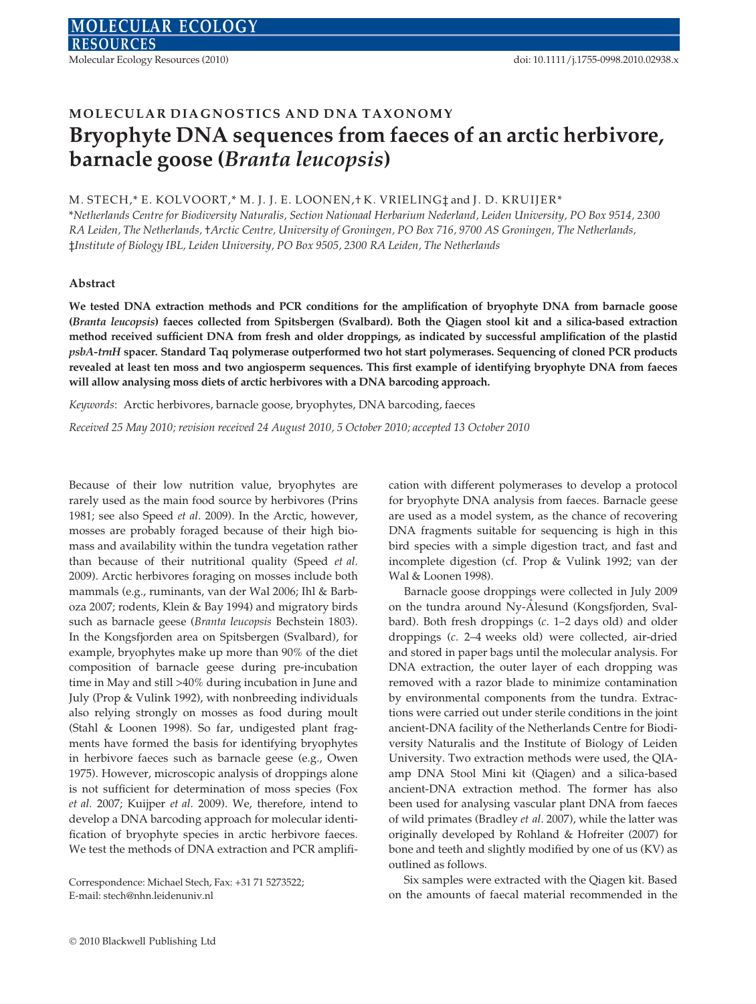# MOLECULAR DIAGNOSTICS AND DNA TAXONOMY Bryophyte DNA sequences from faeces of an arctic herbivore, barnacle goose (Branta leucopsis)

## M. STECH,\* E. KOLVOORT,\* M. J. J. E. LOONEN,† K. VRIELING‡ and J. D. KRUIJER\*

\*Netherlands Centre for Biodiversity Naturalis, Section Nationaal Herbarium Nederland, Leiden University, PO Box 9514, 2300 RA Leiden, The Netherlands, †Arctic Centre, University of Groningen, PO Box 716, 9700 AS Groningen, The Netherlands, ‡Institute of Biology IBL, Leiden University, PO Box 9505, 2300 RA Leiden, The Netherlands

## Abstract

We tested DNA extraction methods and PCR conditions for the amplification of bryophyte DNA from barnacle goose (Branta leucopsis) faeces collected from Spitsbergen (Svalbard). Both the Qiagen stool kit and a silica-based extraction method received sufficient DNA from fresh and older droppings, as indicated by successful amplification of the plastid psbA-trnH spacer. Standard Taq polymerase outperformed two hot start polymerases. Sequencing of cloned PCR products revealed at least ten moss and two angiosperm sequences. This first example of identifying bryophyte DNA from faeces will allow analysing moss diets of arctic herbivores with a DNA barcoding approach.

Keywords: Arctic herbivores, barnacle goose, bryophytes, DNA barcoding, faeces

Received 25 May 2010; revision received 24 August 2010, 5 October 2010; accepted 13 October 2010

Because of their low nutrition value, bryophytes are rarely used as the main food source by herbivores (Prins 1981; see also Speed et al. 2009). In the Arctic, however, mosses are probably foraged because of their high biomass and availability within the tundra vegetation rather than because of their nutritional quality (Speed et al. 2009). Arctic herbivores foraging on mosses include both mammals (e.g., ruminants, van der Wal 2006; Ihl & Barboza 2007; rodents, Klein & Bay 1994) and migratory birds such as barnacle geese (Branta leucopsis Bechstein 1803). In the Kongsfjorden area on Spitsbergen (Svalbard), for example, bryophytes make up more than 90% of the diet composition of barnacle geese during pre-incubation time in May and still >40% during incubation in June and July (Prop & Vulink 1992), with nonbreeding individuals also relying strongly on mosses as food during moult (Stahl & Loonen 1998). So far, undigested plant fragments have formed the basis for identifying bryophytes in herbivore faeces such as barnacle geese (e.g., Owen 1975). However, microscopic analysis of droppings alone is not sufficient for determination of moss species (Fox et al. 2007; Kuijper et al. 2009). We, therefore, intend to develop a DNA barcoding approach for molecular identification of bryophyte species in arctic herbivore faeces. We test the methods of DNA extraction and PCR amplifi-

Correspondence: Michael Stech, Fax: +31 71 5273522; E-mail: stech@nhn.leidenuniv.nl

cation with different polymerases to develop a protocol for bryophyte DNA analysis from faeces. Barnacle geese are used as a model system, as the chance of recovering DNA fragments suitable for sequencing is high in this bird species with a simple digestion tract, and fast and incomplete digestion (cf. Prop & Vulink 1992; van der Wal & Loonen 1998).

Barnacle goose droppings were collected in July 2009 on the tundra around Ny-Alesund (Kongsfjorden, Svalbard). Both fresh droppings (c. 1–2 days old) and older droppings (c. 2–4 weeks old) were collected, air-dried and stored in paper bags until the molecular analysis. For DNA extraction, the outer layer of each dropping was removed with a razor blade to minimize contamination by environmental components from the tundra. Extractions were carried out under sterile conditions in the joint ancient-DNA facility of the Netherlands Centre for Biodiversity Naturalis and the Institute of Biology of Leiden University. Two extraction methods were used, the QIAamp DNA Stool Mini kit (Qiagen) and a silica-based ancient-DNA extraction method. The former has also been used for analysing vascular plant DNA from faeces of wild primates (Bradley et al. 2007), while the latter was originally developed by Rohland & Hofreiter (2007) for bone and teeth and slightly modified by one of us (KV) as outlined as follows.

Six samples were extracted with the Qiagen kit. Based on the amounts of faecal material recommended in the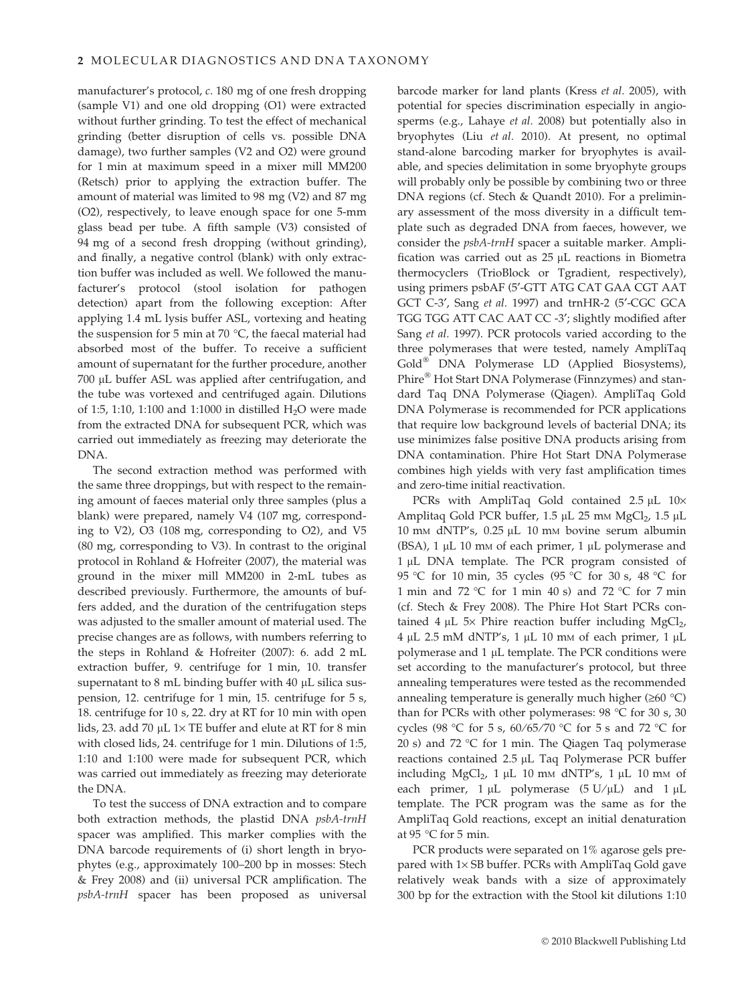manufacturer's protocol, c. 180 mg of one fresh dropping (sample V1) and one old dropping (O1) were extracted without further grinding. To test the effect of mechanical grinding (better disruption of cells vs. possible DNA damage), two further samples (V2 and O2) were ground for 1 min at maximum speed in a mixer mill MM200 (Retsch) prior to applying the extraction buffer. The amount of material was limited to 98 mg (V2) and 87 mg (O2), respectively, to leave enough space for one 5-mm glass bead per tube. A fifth sample (V3) consisted of 94 mg of a second fresh dropping (without grinding), and finally, a negative control (blank) with only extraction buffer was included as well. We followed the manufacturer's protocol (stool isolation for pathogen detection) apart from the following exception: After applying 1.4 mL lysis buffer ASL, vortexing and heating the suspension for 5 min at 70  $\degree$ C, the faecal material had absorbed most of the buffer. To receive a sufficient amount of supernatant for the further procedure, another 700 µL buffer ASL was applied after centrifugation, and the tube was vortexed and centrifuged again. Dilutions of 1:5, 1:10, 1:100 and 1:1000 in distilled  $H_2O$  were made from the extracted DNA for subsequent PCR, which was carried out immediately as freezing may deteriorate the DNA.

The second extraction method was performed with the same three droppings, but with respect to the remaining amount of faeces material only three samples (plus a blank) were prepared, namely V4 (107 mg, corresponding to V2), O3 (108 mg, corresponding to O2), and V5 (80 mg, corresponding to V3). In contrast to the original protocol in Rohland & Hofreiter (2007), the material was ground in the mixer mill MM200 in 2-mL tubes as described previously. Furthermore, the amounts of buffers added, and the duration of the centrifugation steps was adjusted to the smaller amount of material used. The precise changes are as follows, with numbers referring to the steps in Rohland & Hofreiter (2007): 6. add 2 mL extraction buffer, 9. centrifuge for 1 min, 10. transfer supernatant to 8 mL binding buffer with 40  $\mu$ L silica suspension, 12. centrifuge for 1 min, 15. centrifuge for 5 s, 18. centrifuge for 10 s, 22. dry at RT for 10 min with open lids, 23. add 70  $\mu$ L 1× TE buffer and elute at RT for 8 min with closed lids, 24. centrifuge for 1 min. Dilutions of 1:5, 1:10 and 1:100 were made for subsequent PCR, which was carried out immediately as freezing may deteriorate the DNA.

To test the success of DNA extraction and to compare both extraction methods, the plastid DNA psbA-trnH spacer was amplified. This marker complies with the DNA barcode requirements of (i) short length in bryophytes (e.g., approximately 100–200 bp in mosses: Stech & Frey 2008) and (ii) universal PCR amplification. The psbA-trnH spacer has been proposed as universal

barcode marker for land plants (Kress et al. 2005), with potential for species discrimination especially in angiosperms (e.g., Lahaye et al. 2008) but potentially also in bryophytes (Liu et al. 2010). At present, no optimal stand-alone barcoding marker for bryophytes is available, and species delimitation in some bryophyte groups will probably only be possible by combining two or three DNA regions (cf. Stech & Quandt 2010). For a preliminary assessment of the moss diversity in a difficult template such as degraded DNA from faeces, however, we consider the psbA-trnH spacer a suitable marker. Amplification was carried out as  $25 \mu L$  reactions in Biometra thermocyclers (TrioBlock or Tgradient, respectively), using primers psbAF (5¢-GTT ATG CAT GAA CGT AAT GCT C-3', Sang et al. 1997) and trnHR-2 (5'-CGC GCA TGG TGG ATT CAC AAT CC -3'; slightly modified after Sang et al. 1997). PCR protocols varied according to the three polymerases that were tested, namely AmpliTaq Gold<sup>®</sup> DNA Polymerase LD (Applied Biosystems), Phire<sup>®</sup> Hot Start DNA Polymerase (Finnzymes) and standard Taq DNA Polymerase (Qiagen). AmpliTaq Gold DNA Polymerase is recommended for PCR applications that require low background levels of bacterial DNA; its use minimizes false positive DNA products arising from DNA contamination. Phire Hot Start DNA Polymerase combines high yields with very fast amplification times and zero-time initial reactivation.

PCRs with AmpliTaq Gold contained  $2.5 \mu L$  10 $\times$ Amplitaq Gold PCR buffer, 1.5 µL 25 mm MgCl<sub>2</sub>, 1.5 µL 10 mm dNTP's, 0.25 μL 10 mm bovine serum albumin (BSA),  $1 \mu L$  10 mm of each primer,  $1 \mu L$  polymerase and 1 µL DNA template. The PCR program consisted of 95 °C for 10 min, 35 cycles (95 °C for 30 s, 48 °C for 1 min and 72 °C for 1 min 40 s) and 72 °C for 7 min (cf. Stech & Frey 2008). The Phire Hot Start PCRs contained 4  $\mu$ L 5× Phire reaction buffer including MgCl<sub>2</sub>,  $4 \mu L$  2.5 mM dNTP's, 1  $\mu$ L 10 mm of each primer, 1  $\mu$ L polymerase and  $1 \mu$ L template. The PCR conditions were set according to the manufacturer's protocol, but three annealing temperatures were tested as the recommended annealing temperature is generally much higher ( $\geq 60$  °C) than for PCRs with other polymerases:  $98 °C$  for  $30 s$ ,  $30$ cycles (98 °C for 5 s,  $60/65/70$  °C for 5 s and 72 °C for 20 s) and 72  $\degree$ C for 1 min. The Qiagen Taq polymerase reactions contained  $2.5 \mu L$  Taq Polymerase PCR buffer including  $MgCl<sub>2</sub>$ , 1 µL 10 mm dNTP's, 1 µL 10 mm of each primer,  $1 \mu L$  polymerase ( $5 U / \mu L$ ) and  $1 \mu L$ template. The PCR program was the same as for the AmpliTaq Gold reactions, except an initial denaturation at 95 °C for 5 min.

PCR products were separated on 1% agarose gels prepared with  $1\times$  SB buffer. PCRs with AmpliTaq Gold gave relatively weak bands with a size of approximately 300 bp for the extraction with the Stool kit dilutions 1:10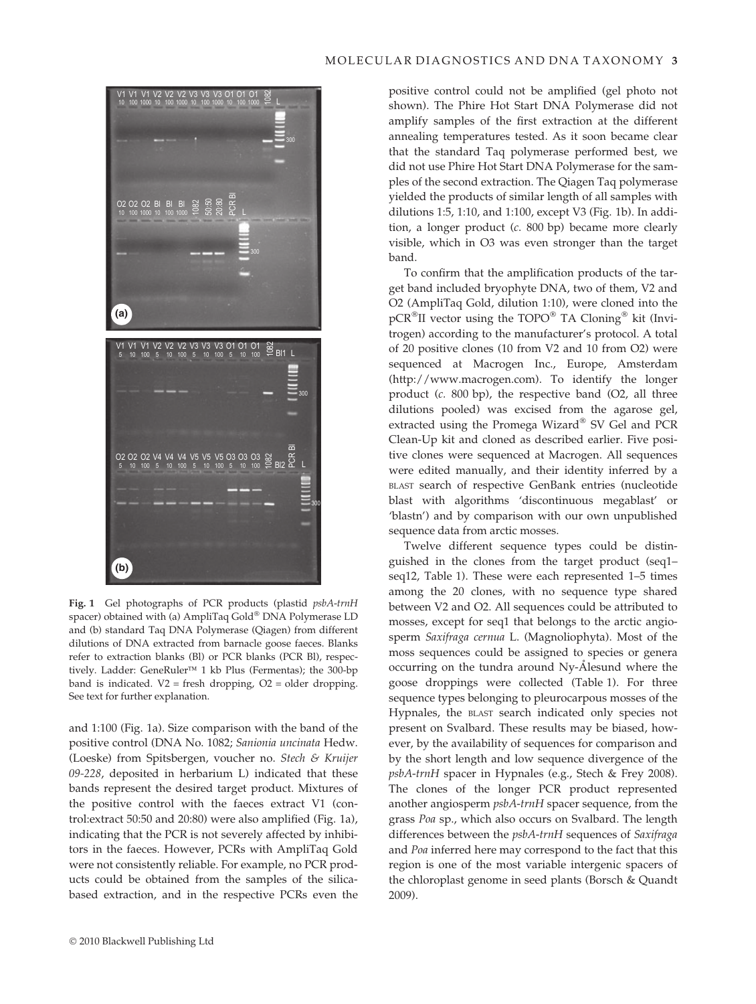

Fig. 1 Gel photographs of PCR products (plastid psbA-trnH spacer) obtained with (a) AmpliTaq Gold® DNA Polymerase LD and (b) standard Taq DNA Polymerase (Qiagen) from different dilutions of DNA extracted from barnacle goose faeces. Blanks refer to extraction blanks (Bl) or PCR blanks (PCR Bl), respectively. Ladder: GeneRuler<sup>TM</sup> 1 kb Plus (Fermentas); the 300-bp band is indicated. V2 = fresh dropping, O2 = older dropping. See text for further explanation.

and 1:100 (Fig. 1a). Size comparison with the band of the positive control (DNA No. 1082; Sanionia uncinata Hedw. (Loeske) from Spitsbergen, voucher no. Stech & Kruijer 09-228, deposited in herbarium L) indicated that these bands represent the desired target product. Mixtures of the positive control with the faeces extract V1 (control:extract 50:50 and 20:80) were also amplified (Fig. 1a), indicating that the PCR is not severely affected by inhibitors in the faeces. However, PCRs with AmpliTaq Gold were not consistently reliable. For example, no PCR products could be obtained from the samples of the silicabased extraction, and in the respective PCRs even the

positive control could not be amplified (gel photo not shown). The Phire Hot Start DNA Polymerase did not amplify samples of the first extraction at the different annealing temperatures tested. As it soon became clear that the standard Taq polymerase performed best, we did not use Phire Hot Start DNA Polymerase for the samples of the second extraction. The Qiagen Taq polymerase yielded the products of similar length of all samples with dilutions 1:5, 1:10, and 1:100, except V3 (Fig. 1b). In addition, a longer product (c. 800 bp) became more clearly visible, which in O3 was even stronger than the target band.

To confirm that the amplification products of the target band included bryophyte DNA, two of them, V2 and O2 (AmpliTaq Gold, dilution 1:10), were cloned into the  $pCR^{\otimes}$ II vector using the TOPO $^{\otimes}$  TA Cloning $^{\otimes}$  kit (Invitrogen) according to the manufacturer's protocol. A total of 20 positive clones (10 from V2 and 10 from O2) were sequenced at Macrogen Inc., Europe, Amsterdam (http://www.macrogen.com). To identify the longer product (c. 800 bp), the respective band (O2, all three dilutions pooled) was excised from the agarose gel, extracted using the Promega Wizard $^{\circ}$  SV Gel and PCR Clean-Up kit and cloned as described earlier. Five positive clones were sequenced at Macrogen. All sequences were edited manually, and their identity inferred by a BLAST search of respective GenBank entries (nucleotide blast with algorithms 'discontinuous megablast' or 'blastn') and by comparison with our own unpublished sequence data from arctic mosses.

Twelve different sequence types could be distinguished in the clones from the target product (seq1– seq12, Table 1). These were each represented 1–5 times among the 20 clones, with no sequence type shared between V2 and O2. All sequences could be attributed to mosses, except for seq1 that belongs to the arctic angiosperm Saxifraga cernua L. (Magnoliophyta). Most of the moss sequences could be assigned to species or genera occurring on the tundra around Ny- $\AA$  lesund where the goose droppings were collected (Table 1). For three sequence types belonging to pleurocarpous mosses of the Hypnales, the BLAST search indicated only species not present on Svalbard. These results may be biased, however, by the availability of sequences for comparison and by the short length and low sequence divergence of the psbA-trnH spacer in Hypnales (e.g., Stech & Frey 2008). The clones of the longer PCR product represented another angiosperm psbA-trnH spacer sequence, from the grass Poa sp., which also occurs on Svalbard. The length differences between the psbA-trnH sequences of Saxifraga and Poa inferred here may correspond to the fact that this region is one of the most variable intergenic spacers of the chloroplast genome in seed plants (Borsch & Quandt 2009).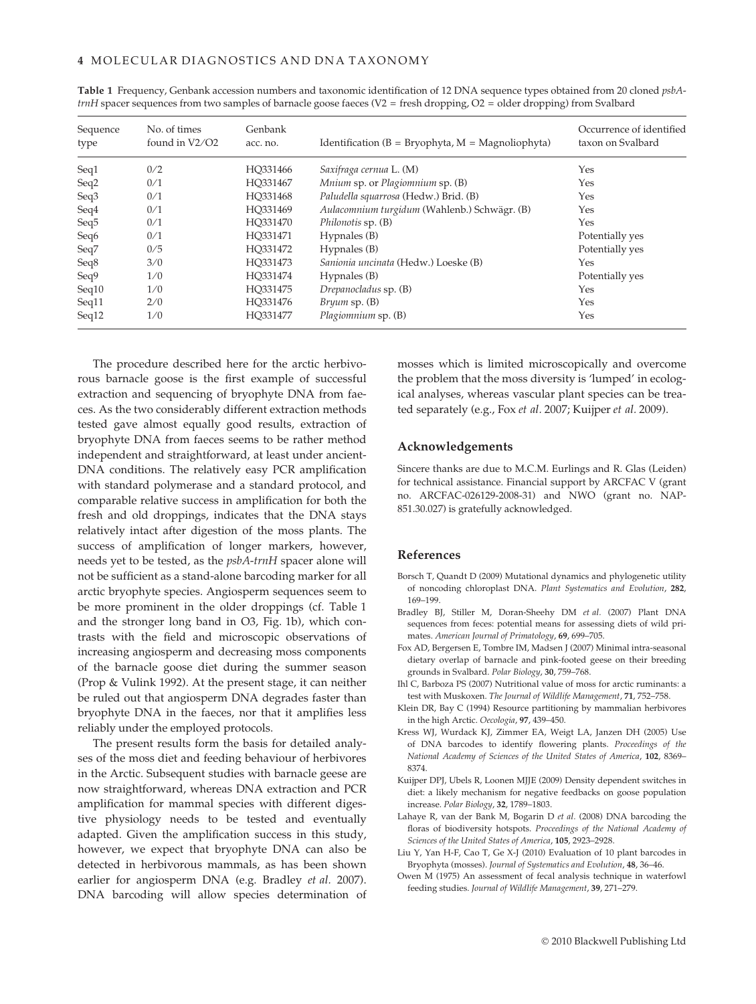| Sequence<br>type | No. of times<br>found in $V2/O2$ | Genbank<br>acc. no. | Identification ( $B = Bryophyta$ , $M = Magnoliophyta$ ) | Occurrence of identified<br>taxon on Svalbard |
|------------------|----------------------------------|---------------------|----------------------------------------------------------|-----------------------------------------------|
| Seq1             | 0/2                              | HO331466            | Saxifraga cernua L. (M)                                  | Yes                                           |
| Seq2             | 0/1                              | HQ331467            | Mnium sp. or Plagiomnium sp. (B)                         | Yes                                           |
| Seq <sub>3</sub> | 0/1                              | HO331468            | Paludella squarrosa (Hedw.) Brid. (B)                    | Yes                                           |
| Seq4             | 0/1                              | HO331469            | Aulacomnium turgidum (Wahlenb.) Schwägr. (B)             | Yes                                           |
| Seq <sub>5</sub> | 0/1                              | HO331470            | Philonotis sp. (B)                                       | Yes                                           |
| Seq <sub>6</sub> | 0/1                              | HO331471            | Hypnales (B)                                             | Potentially yes                               |
| Seq7             | 0/5                              | HO331472            | Hypnales (B)                                             | Potentially yes                               |
| Seq8             | 3/0                              | HO331473            | Sanionia uncinata (Hedw.) Loeske (B)                     | Yes                                           |
| Seq9             | 1/0                              | HO331474            | Hypnales (B)                                             | Potentially yes                               |
| Seq10            | 1/0                              | HO331475            | Drepanocladus sp. (B)                                    | Yes                                           |
| Seq11            | 2/0                              | HO331476            | $Bryum$ sp. $(B)$                                        | Yes                                           |
| Seq12            | 1/0                              | HO331477            | Plagiomnium sp. (B)                                      | Yes                                           |

Table 1 Frequency, Genbank accession numbers and taxonomic identification of 12 DNA sequence types obtained from 20 cloned psbA $trnH$  spacer sequences from two samples of barnacle goose faeces (V2 = fresh dropping, O2 = older dropping) from Svalbard

The procedure described here for the arctic herbivorous barnacle goose is the first example of successful extraction and sequencing of bryophyte DNA from faeces. As the two considerably different extraction methods tested gave almost equally good results, extraction of bryophyte DNA from faeces seems to be rather method independent and straightforward, at least under ancient-DNA conditions. The relatively easy PCR amplification with standard polymerase and a standard protocol, and comparable relative success in amplification for both the fresh and old droppings, indicates that the DNA stays relatively intact after digestion of the moss plants. The success of amplification of longer markers, however, needs yet to be tested, as the psbA-trnH spacer alone will not be sufficient as a stand-alone barcoding marker for all arctic bryophyte species. Angiosperm sequences seem to be more prominent in the older droppings (cf. Table 1 and the stronger long band in O3, Fig. 1b), which contrasts with the field and microscopic observations of increasing angiosperm and decreasing moss components of the barnacle goose diet during the summer season (Prop & Vulink 1992). At the present stage, it can neither be ruled out that angiosperm DNA degrades faster than bryophyte DNA in the faeces, nor that it amplifies less reliably under the employed protocols.

The present results form the basis for detailed analyses of the moss diet and feeding behaviour of herbivores in the Arctic. Subsequent studies with barnacle geese are now straightforward, whereas DNA extraction and PCR amplification for mammal species with different digestive physiology needs to be tested and eventually adapted. Given the amplification success in this study, however, we expect that bryophyte DNA can also be detected in herbivorous mammals, as has been shown earlier for angiosperm DNA (e.g. Bradley et al. 2007). DNA barcoding will allow species determination of mosses which is limited microscopically and overcome the problem that the moss diversity is 'lumped' in ecological analyses, whereas vascular plant species can be treated separately (e.g., Fox et al. 2007; Kuijper et al. 2009).

#### Acknowledgements

Sincere thanks are due to M.C.M. Eurlings and R. Glas (Leiden) for technical assistance. Financial support by ARCFAC V (grant no. ARCFAC-026129-2008-31) and NWO (grant no. NAP-851.30.027) is gratefully acknowledged.

## References

- Borsch T, Quandt D (2009) Mutational dynamics and phylogenetic utility of noncoding chloroplast DNA. Plant Systematics and Evolution, 282, 169–199.
- Bradley BJ, Stiller M, Doran-Sheehy DM et al. (2007) Plant DNA sequences from feces: potential means for assessing diets of wild primates. American Journal of Primatology, 69, 699-705.
- Fox AD, Bergersen E, Tombre IM, Madsen J (2007) Minimal intra-seasonal dietary overlap of barnacle and pink-footed geese on their breeding grounds in Svalbard. Polar Biology, 30, 759–768.
- Ihl C, Barboza PS (2007) Nutritional value of moss for arctic ruminants: a test with Muskoxen. The Journal of Wildlife Management, 71, 752–758.
- Klein DR, Bay C (1994) Resource partitioning by mammalian herbivores in the high Arctic. Oecologia, 97, 439–450.
- Kress WJ, Wurdack KJ, Zimmer EA, Weigt LA, Janzen DH (2005) Use of DNA barcodes to identify flowering plants. Proceedings of the National Academy of Sciences of the United States of America, 102, 8369– 8374.
- Kuijper DPJ, Ubels R, Loonen MJJE (2009) Density dependent switches in diet: a likely mechanism for negative feedbacks on goose population increase. Polar Biology, 32, 1789–1803.
- Lahaye R, van der Bank M, Bogarin D et al. (2008) DNA barcoding the floras of biodiversity hotspots. Proceedings of the National Academy of Sciences of the United States of America, 105, 2923–2928.
- Liu Y, Yan H-F, Cao T, Ge X-J (2010) Evaluation of 10 plant barcodes in Bryophyta (mosses). Journal of Systematics and Evolution, 48, 36–46.
- Owen M (1975) An assessment of fecal analysis technique in waterfowl feeding studies. Journal of Wildlife Management, 39, 271–279.